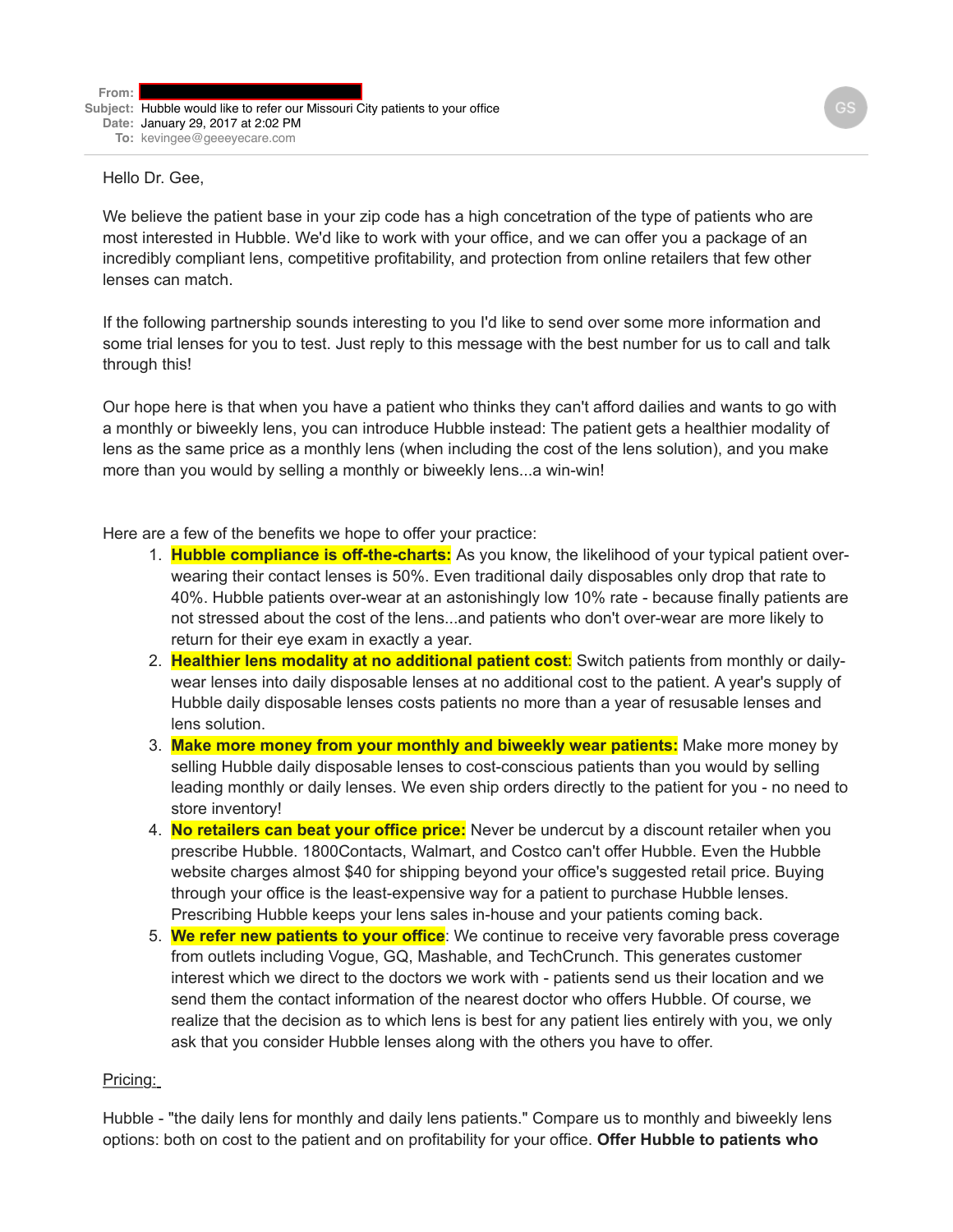## Hello Dr. Gee,

We believe the patient base in your zip code has a high concetration of the type of patients who are most interested in Hubble. We'd like to work with your office, and we can offer you a package of an incredibly compliant lens, competitive profitability, and protection from online retailers that few other lenses can match.

If the following partnership sounds interesting to you I'd like to send over some more information and some trial lenses for you to test. Just reply to this message with the best number for us to call and talk through this!

Our hope here is that when you have a patient who thinks they can't afford dailies and wants to go with a monthly or biweekly lens, you can introduce Hubble instead: The patient gets a healthier modality of lens as the same price as a monthly lens (when including the cost of the lens solution), and you make more than you would by selling a monthly or biweekly lens...a win-win!

Here are a few of the benefits we hope to offer your practice:

- 1. **Hubble compliance is off-the-charts:** As you know, the likelihood of your typical patient overwearing their contact lenses is 50%. Even traditional daily disposables only drop that rate to 40%. Hubble patients over-wear at an astonishingly low 10% rate - because finally patients are not stressed about the cost of the lens...and patients who don't over-wear are more likely to return for their eye exam in exactly a year.
- 2. **Healthier lens modality at no additional patient cost**: Switch patients from monthly or dailywear lenses into daily disposable lenses at no additional cost to the patient. A year's supply of Hubble daily disposable lenses costs patients no more than a year of resusable lenses and lens solution.
- 3. **Make more money from your monthly and biweekly wear patients:** Make more money by selling Hubble daily disposable lenses to cost-conscious patients than you would by selling leading monthly or daily lenses. We even ship orders directly to the patient for you - no need to store inventory!
- 4. **No retailers can beat your office price:** Never be undercut by a discount retailer when you prescribe Hubble. 1800Contacts, Walmart, and Costco can't offer Hubble. Even the Hubble website charges almost \$40 for shipping beyond your office's suggested retail price. Buying through your office is the least-expensive way for a patient to purchase Hubble lenses. Prescribing Hubble keeps your lens sales in-house and your patients coming back.
- 5. **We refer new patients to your office**: We continue to receive very favorable press coverage from outlets including Vogue, GQ, Mashable, and TechCrunch. This generates customer interest which we direct to the doctors we work with - patients send us their location and we send them the contact information of the nearest doctor who offers Hubble. Of course, we realize that the decision as to which lens is best for any patient lies entirely with you, we only ask that you consider Hubble lenses along with the others you have to offer.

## Pricing:

Hubble - "the daily lens for monthly and daily lens patients." Compare us to monthly and biweekly lens options: both on cost to the patient and on profitability for your office. **Offer Hubble to patients who**